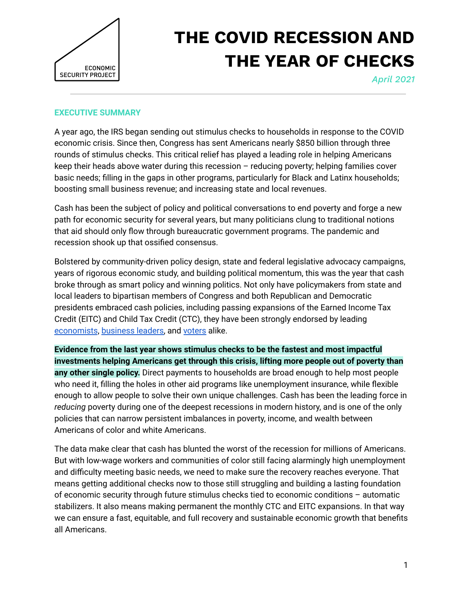

# **THE COVID RECESSION AND THE YEAR OF CHECKS**

*April 2021*

### **EXECUTIVE SUMMARY**

A year ago, the IRS began sending out stimulus checks to households in response to the COVID economic crisis. Since then, Congress has sent Americans nearly \$850 billion through three rounds of stimulus checks. This critical relief has played a leading role in helping Americans keep their heads above water during this recession – reducing poverty; helping families cover basic needs; filling in the gaps in other programs, particularly for Black and Latinx households; boosting small business revenue; and increasing state and local revenues.

Cash has been the subject of policy and political conversations to end poverty and forge a new path for economic security for several years, but many politicians clung to traditional notions that aid should only flow through bureaucratic government programs. The pandemic and recession shook up that ossified consensus.

Bolstered by community-driven policy design, state and federal legislative advocacy campaigns, years of rigorous economic study, and building political momentum, this was the year that cash broke through as smart policy and winning politics. Not only have policymakers from state and local leaders to bipartisan members of Congress and both Republican and Democratic presidents embraced cash policies, including passing expansions of the Earned Income Tax Credit (EITC) and Child Tax Credit (CTC), they have been strongly endorsed by leading [economists](https://economicsecproj.org/economists-letter-nov2020), [business](https://economicsecproj.org/smallbizowners) leaders, and [voters](https://www.economicsecurityproject.org/emergencymoney/polling/) alike.

**Evidence from the last year shows stimulus checks to be the fastest and most impactful investments helping Americans get through this crisis, lifting more people out of poverty than any other single policy.** Direct payments to households are broad enough to help most people who need it, filling the holes in other aid programs like unemployment insurance, while flexible enough to allow people to solve their own unique challenges. Cash has been the leading force in *reducing* poverty during one of the deepest recessions in modern history, and is one of the only policies that can narrow persistent imbalances in poverty, income, and wealth between Americans of color and white Americans.

The data make clear that cash has blunted the worst of the recession for millions of Americans. But with low-wage workers and communities of color still facing alarmingly high unemployment and difficulty meeting basic needs, we need to make sure the recovery reaches everyone. That means getting additional checks now to those still struggling and building a lasting foundation of economic security through future stimulus checks tied to economic conditions – automatic stabilizers. It also means making permanent the monthly CTC and EITC expansions. In that way we can ensure a fast, equitable, and full recovery and sustainable economic growth that benefits all Americans.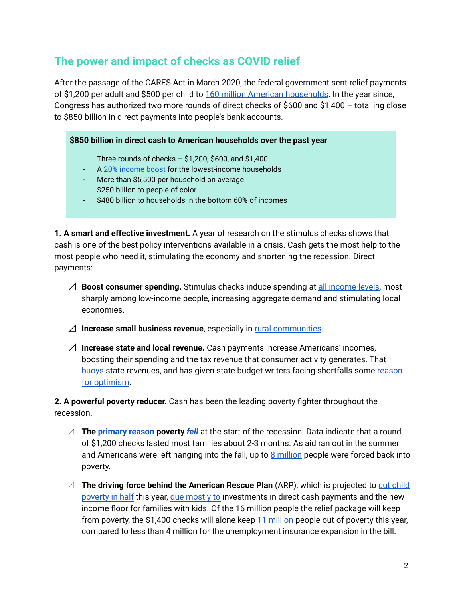## **The power and impact of checks as COVID relief**

After the passage of the CARES Act in March 2020, the federal government sent relief payments of \$1,200 per adult and \$500 per child to 160 million American [households](https://home.treasury.gov/news/press-releases/sm1025). In the year since, Congress has authorized two more rounds of direct checks of \$600 and \$1,400 – totalling close to \$850 billion in direct payments into people's bank accounts.

## **\$850 billion in direct cash to American households over the past year**

- Three rounds of checks  $-$  \$1,200, \$600, and \$1,400
- A 20% [income](https://itep.org/estimates-on-senate-and-house-reconciliation-bills-cash-payment-and-tax-credit-provisions/) boost for the lowest-income households
- More than \$5,500 per household on average
- \$250 billion to people of color
- \$480 billion to households in the bottom 60% of incomes

**1. A smart and effective investment.** A year of research on the stimulus checks shows that cash is one of the best policy interventions available in a crisis. Cash gets the most help to the most people who need it, stimulating the economy and shortening the recession. Direct payments:

- ⊿ **Boost consumer spending.** Stimulus checks induce spending at all [income](https://opportunityinsights.org/wp-content/uploads/2020/05/tracker_paper.pdf) levels, most sharply among low-income people, increasing aggregate demand and stimulating local economies.
- ⊿ **Increase small business revenue**, especially in rural [communities](https://www.americanprogress.org/issues/economy/reports/2020/07/27/488129/congress-must-help-rural-america-respond-coronavirus/).
- ⊿ **Increase state and local revenue.** Cash payments increase Americans' incomes, boosting their spending and the tax revenue that consumer activity generates. That [buoys](https://comptroller.texas.gov/transparency/reports/certification-revenue-estimate/2020-21-update/) state revenues, and has given state budget writers facing shortfalls some [reason](https://erfc.wa.gov/sites/default/files/public/documents/forecasts/rev20200923.pdf) for [optimism.](https://erfc.wa.gov/sites/default/files/public/documents/forecasts/rev20200923.pdf)

**2. A powerful poverty reducer.** Cash has been the leading poverty fighter throughout the recession.

- ◿ **The [primary](https://news.nd.edu/assets/393384/brookings_paper2_5_clean.pdf) reason poverty** *[fell](https://www.nytimes.com/2020/06/21/us/politics/coronavirus-poverty.html)* at the start of the recession. Data indicate that a round of \$1,200 checks lasted most families about 2-3 months. As aid ran out in the summer and Americans were left hanging into the fall, up to 8 [million](https://www.nytimes.com/2020/10/15/us/politics/federal-aid-poverty-levels.html) people were forced back into poverty.
- ◿ **The driving force behind the American Rescue Plan** (ARP), which is projected to cut [child](https://www.povertycenter.columbia.edu/news-internal/2021/presidential-policy/biden-economic-relief-proposal-poverty-impact) [poverty](https://www.povertycenter.columbia.edu/news-internal/2021/presidential-policy/biden-economic-relief-proposal-poverty-impact) in half this year, due [mostly](https://www.urban.org/research/publication/2021-poverty-projections-assessing-four-american-rescue-plan-policies) to investments in direct cash payments and the new income floor for families with kids. Of the 16 million people the relief package will keep from poverty, the \$1,400 checks will alone keep 11 [million](https://www.urban.org/research/publication/2021-poverty-projections-assessing-four-american-rescue-plan-policies) people out of poverty this year, compared to less than 4 million for the unemployment insurance expansion in the bill.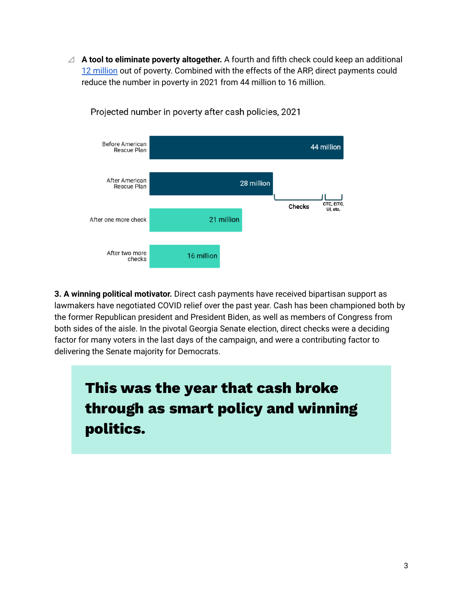◿ **A tool to eliminate poverty altogether.** A fourth and fifth check could keep an additional 12 [million](https://www.taxpolicycenter.org/publications/how-additional-cash-payments-would-reduce-poverty) out of poverty. Combined with the effects of the ARP, direct payments could reduce the number in poverty in 2021 from 44 million to 16 million.



Projected number in poverty after cash policies, 2021

**3. A winning political motivator.** Direct cash payments have received bipartisan support as lawmakers have negotiated COVID relief over the past year. Cash has been championed both by the former Republican president and President Biden, as well as members of Congress from both sides of the aisle. In the pivotal Georgia Senate election, direct checks were a deciding factor for many voters in the last days of the campaign, and were a contributing factor to delivering the Senate majority for Democrats.

**This was the year that cash broke through as smart policy and winning politics.**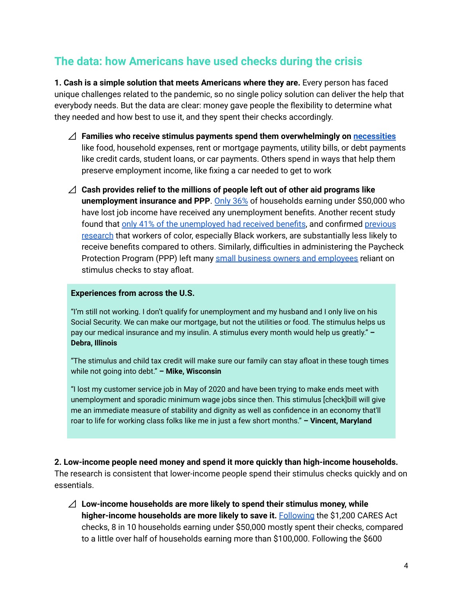## **The data: how Americans have used checks during the crisis**

**1. Cash is a simple solution that meets Americans where they are.** Every person has faced unique challenges related to the pandemic, so no single policy solution can deliver the help that everybody needs. But the data are clear: money gave people the flexibility to determine what they needed and how best to use it, and they spent their checks accordingly.

- ⊿ **Families who receive stimulus payments spend them overwhelmingly on [necessities](https://www.census.gov/programs-surveys/household-pulse-survey/data.html)** like food, household expenses, rent or mortgage payments, utility bills, or debt payments like credit cards, student loans, or car payments. Others spend in ways that help them preserve employment income, like fixing a car needed to get to work
- ⊿ **Cash provides relief to the millions of people left out of other aid programs like unemployment insurance and PPP**. [Only](https://www.census.gov/data/tables/2021/demo/hhp/hhp26.html) 36% of households earning under \$50,000 who have lost job income have received any unemployment benefits. Another recent study found that only 41% of the [unemployed](http://publish.illinois.edu/elizaforsythe/files/2021/03/Forsythe_UI_draft_march8_2021-1.pdf) had received benefits, and confirmed [previous](https://www.economicsecurityproject.org/emergencymoney/uipluschecks/) [research](https://www.economicsecurityproject.org/emergencymoney/uipluschecks/) that workers of color, especially Black workers, are substantially less likely to receive benefits compared to others. Similarly, difficulties in administering the Paycheck Protection Program (PPP) left many small business owners and [employees](https://economicsecproj.org/smallbizowners) reliant on stimulus checks to stay afloat.

#### **Experiences from across the U.S.**

"I'm still not working. I don't qualify for unemployment and my husband and I only live on his Social Security. We can make our mortgage, but not the utilities or food. The stimulus helps us pay our medical insurance and my insulin. A stimulus every month would help us greatly." **– Debra, Illinois**

"The stimulus and child tax credit will make sure our family can stay afloat in these tough times while not going into debt." **– Mike, Wisconsin**

"I lost my customer service job in May of 2020 and have been trying to make ends meet with unemployment and sporadic minimum wage jobs since then. This stimulus [check]bill will give me an immediate measure of stability and dignity as well as confidence in an economy that'll roar to life for working class folks like me in just a few short months." **– Vincent, Maryland**

**2. Low-income people need money and spend it more quickly than high-income households.** The research is consistent that lower-income people spend their stimulus checks quickly and on essentials.

⊿ **Low-income households are more likely to spend their stimulus money, while higher-income households are more likely to save it.** [Following](https://www.census.gov/data/tables/2020/demo/hhp/hhp7.html) the \$1,200 CARES Act checks, 8 in 10 households earning under \$50,000 mostly spent their checks, compared to a little over half of households earning more than \$100,000. Following the \$600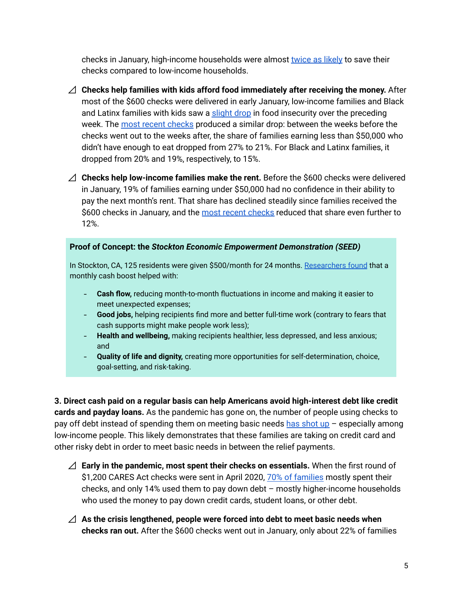checks in January, high-income households were almost [twice](https://www.census.gov/data/tables/2021/demo/hhp/hhp22.html) as likely to save their checks compared to low-income households.

- ⊿ **Checks help families with kids afford food immediately after receiving the money.** After most of the \$600 checks were delivered in early January, low-income families and Black and Latinx families with kids saw a [slight](https://www.census.gov/data/tables/2021/demo/hhp/hhp22.html) drop in food insecurity over the preceding week. The most recent [checks](https://www.census.gov/data/tables/2021/demo/hhp/hhp27.html) produced a similar drop: between the weeks before the checks went out to the weeks after, the share of families earning less than \$50,000 who didn't have enough to eat dropped from 27% to 21%. For Black and Latinx families, it dropped from 20% and 19%, respectively, to 15%.
- ⊿ **Checks help low-income families make the rent.** Before the \$600 checks were delivered in January, 19% of families earning under \$50,000 had no confidence in their ability to pay the next month's rent. That share has declined steadily since families received the \$600 [checks](https://www.census.gov/data/tables/2021/demo/hhp/hhp27.html) in January, and the most recent checks reduced that share even further to 12%.

#### **Proof of Concept: the** *Stockton Economic Empowerment Demonstration (SEED)*

In Stockton, CA, 125 residents were given \$500/month for 24 months. [Researchers](https://www.stocktondemonstration.org/) found that a monthly cash boost helped with:

- **Cash flow,** reducing month-to-month fluctuations in income and making it easier to meet unexpected expenses;
- **Good jobs,** helping recipients find more and better full-time work (contrary to fears that cash supports might make people work less);
- **Health and wellbeing,** making recipients healthier, less depressed, and less anxious; and
- **Quality of life and dignity,** creating more opportunities for self-determination, choice, goal-setting, and risk-taking.

**3. Direct cash paid on a regular basis can help Americans avoid high-interest debt like credit cards and payday loans.** As the pandemic has gone on, the number of people using checks to pay off debt instead of spending them on meeting basic needs has [shot](https://equitablegrowth.org/what-the-u-s-census-household-pulse-survey-reveals-about-the-first-year-of-the-coronavirus-recession-in-six-charts/) up  $-$  especially among low-income people. This likely demonstrates that these families are taking on credit card and other risky debt in order to meet basic needs in between the relief payments.

- ⊿ **Early in the pandemic, most spent their checks on essentials.** When the first round of \$1,200 CARES Act checks were sent in April 2020, 70% of [families](https://www.census.gov/data/tables/2020/demo/hhp/hhp7.html) mostly spent their checks, and only 14% used them to pay down debt – mostly higher-income households who used the money to pay down credit cards, student loans, or other debt.
- ⊿ **As the crisis lengthened, people were forced into debt to meet basic needs when checks ran out.** After the \$600 checks went out in January, only about 22% of families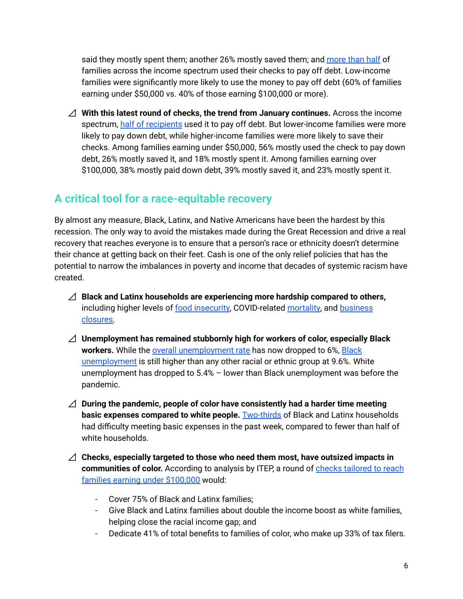said they mostly spent them; another 26% mostly saved them; and [more](https://www.census.gov/data/tables/2021/demo/hhp/hhp22.html) than half of families across the income spectrum used their checks to pay off debt. Low-income families were significantly more likely to use the money to pay off debt (60% of families earning under \$50,000 vs. 40% of those earning \$100,000 or more).

⊿ **With this latest round of checks, the trend from January continues.** Across the income spectrum, half of [recipients](https://www.census.gov/data/tables/2021/demo/hhp/hhp27.html) used it to pay off debt. But lower-income families were more likely to pay down debt, while higher-income families were more likely to save their checks. Among families earning under \$50,000, 56% mostly used the check to pay down debt, 26% mostly saved it, and 18% mostly spent it. Among families earning over \$100,000, 38% mostly paid down debt, 39% mostly saved it, and 23% mostly spent it.

## **A critical tool for a race-equitable recovery**

By almost any measure, Black, Latinx, and Native Americans have been the hardest by this recession. The only way to avoid the mistakes made during the Great Recession and drive a real recovery that reaches everyone is to ensure that a person's race or ethnicity doesn't determine their chance at getting back on their feet. Cash is one of the only relief policies that has the potential to narrow the imbalances in poverty and income that decades of systemic racism have created.

- ⊿ **Black and Latinx households are experiencing more hardship compared to others,** including higher levels of food [insecurity](https://www.brookings.edu/blog/up-front/2020/07/09/about-14-million-children-in-the-us-are-not-getting-enough-to-eat/), COVID-related [mortality,](https://www.brookings.edu/research/racial-economic-inequality-amid-the-covid-19-crisis/) and [business](https://www.newyorkfed.org/medialibrary/media/smallbusiness/DoubleJeopardy_COVID19andBlackOwnedBusinesses) [closures.](https://www.newyorkfed.org/medialibrary/media/smallbusiness/DoubleJeopardy_COVID19andBlackOwnedBusinesses)
- ⊿ **Unemployment has remained stubbornly high for workers of color, especially Black workers.** While the overall [unemployment](https://fred.stlouisfed.org/series/UNRATE) rate has now dropped to 6%, [Black](https://fred.stlouisfed.org/graph/?g=houW) [unemployment](https://fred.stlouisfed.org/graph/?g=houW) is still higher than any other racial or ethnic group at 9.6%. White unemployment has dropped to 5.4% – lower than Black unemployment was before the pandemic.
- ⊿ **During the pandemic, people of color have consistently had a harder time meeting basic expenses compared to white people.** [Two-thirds](https://www.census.gov/data/tables/2021/demo/hhp/hhp27.html) of Black and Latinx households had difficulty meeting basic expenses in the past week, compared to fewer than half of white households.
- ⊿ **Checks, especially targeted to those who need them most, have outsized impacts in communities of color.** According to analysis by ITEP, a round of checks [tailored](https://economicsecproj.org/whytargeted) to reach families earning under [\\$100,000](https://economicsecproj.org/whytargeted) would:
	- Cover 75% of Black and Latinx families;
	- Give Black and Latinx families about double the income boost as white families, helping close the racial income gap; and
	- Dedicate 41% of total benefits to families of color, who make up 33% of tax filers.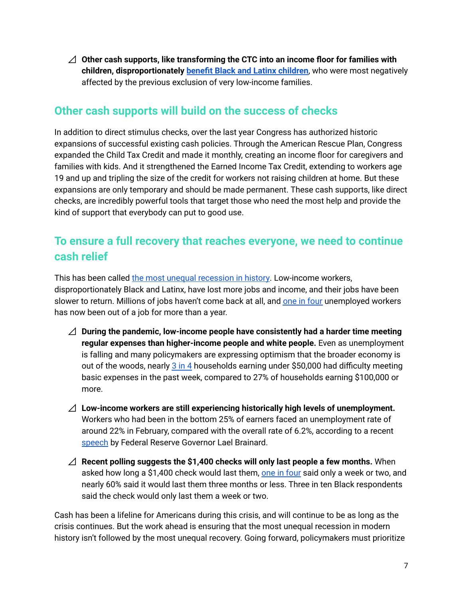⊿ **Other cash supports, like transforming the CTC into an income floor for families with children, disproportionately benefit Black and Latinx [children](https://www.cbpp.org/research/federal-tax/house-covid-relief-bill-includes-critical-expansions-of-child-tax-credit-and)**, who were most negatively affected by the previous exclusion of very low-income families.

## **Other cash supports will build on the success of checks**

In addition to direct stimulus checks, over the last year Congress has authorized historic expansions of successful existing cash policies. Through the American Rescue Plan, Congress expanded the Child Tax Credit and made it monthly, creating an income floor for caregivers and families with kids. And it strengthened the Earned Income Tax Credit, extending to workers age 19 and up and tripling the size of the credit for workers not raising children at home. But these expansions are only temporary and should be made permanent. These cash supports, like direct checks, are incredibly powerful tools that target those who need the most help and provide the kind of support that everybody can put to good use.

# **To ensure a full recovery that reaches everyone, we need to continue cash relief**

This has been called the most unequal [recession](https://www.washingtonpost.com/graphics/2020/business/coronavirus-recession-equality/) in history. Low-income workers, disproportionately Black and Latinx, have lost more jobs and income, and their jobs have been slower to return. Millions of jobs haven't come back at all, and one in [four](https://www.epi.org/chart/unemployed-jobs-day-workers-are-experiencing-longer-and-longer-periods-of-unemployment-number-of-workers-at-each-level-of-unemployment-duration-by-month-february-2020-march-2021/) unemployed workers has now been out of a job for more than a year.

- ⊿ **During the pandemic, low-income people have consistently had a harder time meeting regular expenses than higher-income people and white people.** Even as unemployment is falling and many policymakers are expressing optimism that the broader economy is out of the woods, nearly 3 [in](https://www.census.gov/data/tables/2021/demo/hhp/hhp27.html) 4 households earning under \$50,000 had difficulty meeting basic expenses in the past week, compared to 27% of households earning \$100,000 or more.
- ⊿ **Low-income workers are still experiencing historically high levels of unemployment.** Workers who had been in the bottom 25% of earners faced an unemployment rate of around 22% in February, compared with the overall rate of 6.2%, according to a recent [speech](https://www.washingtonpost.com/business/2021/03/30/fed-inflation-bad-economy-low-wage/) by Federal Reserve Governor Lael Brainard.
- ⊿ **Recent polling suggests the \$1,400 checks will only last people a few months.** When asked how long a \$1,400 check would last them, one in [four](https://economicsecproj.org/stimulus_checks_spending) said only a week or two, and nearly 60% said it would last them three months or less. Three in ten Black respondents said the check would only last them a week or two.

Cash has been a lifeline for Americans during this crisis, and will continue to be as long as the crisis continues. But the work ahead is ensuring that the most unequal recession in modern history isn't followed by the most unequal recovery. Going forward, policymakers must prioritize